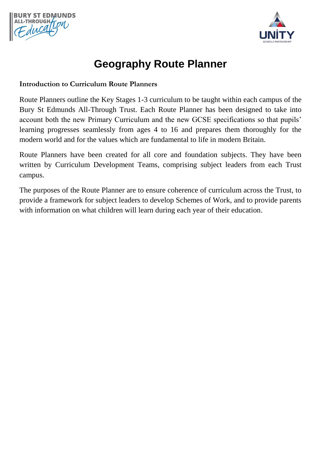



## **Geography Route Planner**

## **Introduction to Curriculum Route Planners**

Route Planners outline the Key Stages 1-3 curriculum to be taught within each campus of the Bury St Edmunds All-Through Trust. Each Route Planner has been designed to take into account both the new Primary Curriculum and the new GCSE specifications so that pupils' learning progresses seamlessly from ages 4 to 16 and prepares them thoroughly for the modern world and for the values which are fundamental to life in modern Britain.

Route Planners have been created for all core and foundation subjects. They have been written by Curriculum Development Teams, comprising subject leaders from each Trust campus.

The purposes of the Route Planner are to ensure coherence of curriculum across the Trust, to provide a framework for subject leaders to develop Schemes of Work, and to provide parents with information on what children will learn during each year of their education.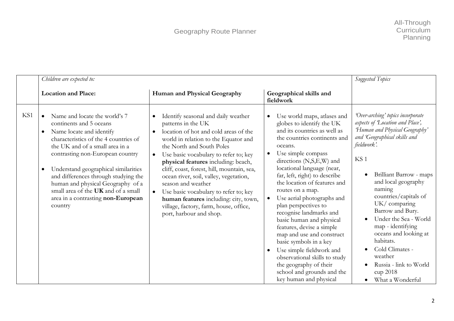|     | Children are expected to:                                                                                                                                                                                                                                                                                                                                                                                                                                | Suggested Topics                                                                                                                                                                                                                                                                                                                                                                                                                                                                                                                                                                 |                                                                                                                                                                                                                                                                                                                                                                                                                                                                                                                                                                                                                                                          |                                                                                                                                                                                                                                                                                                                                                                                                                                                                               |
|-----|----------------------------------------------------------------------------------------------------------------------------------------------------------------------------------------------------------------------------------------------------------------------------------------------------------------------------------------------------------------------------------------------------------------------------------------------------------|----------------------------------------------------------------------------------------------------------------------------------------------------------------------------------------------------------------------------------------------------------------------------------------------------------------------------------------------------------------------------------------------------------------------------------------------------------------------------------------------------------------------------------------------------------------------------------|----------------------------------------------------------------------------------------------------------------------------------------------------------------------------------------------------------------------------------------------------------------------------------------------------------------------------------------------------------------------------------------------------------------------------------------------------------------------------------------------------------------------------------------------------------------------------------------------------------------------------------------------------------|-------------------------------------------------------------------------------------------------------------------------------------------------------------------------------------------------------------------------------------------------------------------------------------------------------------------------------------------------------------------------------------------------------------------------------------------------------------------------------|
|     | <b>Location and Place:</b>                                                                                                                                                                                                                                                                                                                                                                                                                               | Human and Physical Geography                                                                                                                                                                                                                                                                                                                                                                                                                                                                                                                                                     | Geographical skills and<br>fieldwork                                                                                                                                                                                                                                                                                                                                                                                                                                                                                                                                                                                                                     |                                                                                                                                                                                                                                                                                                                                                                                                                                                                               |
| KS1 | Name and locate the world's 7<br>$\bullet$<br>continents and 5 oceans<br>Name locate and identify<br>$\bullet$<br>characteristics of the 4 countries of<br>the UK and of a small area in a<br>contrasting non-European country<br>Understand geographical similarities<br>$\bullet$<br>and differences through studying the<br>human and physical Geography of a<br>small area of the UK and of a small<br>area in a contrasting non-European<br>country | Identify seasonal and daily weather<br>$\bullet$<br>patterns in the UK<br>location of hot and cold areas of the<br>$\bullet$<br>world in relation to the Equator and<br>the North and South Poles<br>Use basic vocabulary to refer to; key<br>$\bullet$<br>physical features including: beach,<br>cliff, coast, forest, hill, mountain, sea,<br>ocean river, soil, valley, vegetation,<br>season and weather<br>Use basic vocabulary to refer to; key<br>$\bullet$<br>human features including: city, town,<br>village, factory, farm, house, office,<br>port, harbour and shop. | Use world maps, atlases and<br>globes to identify the UK<br>and its countries as well as<br>the countries continents and<br>oceans.<br>Use simple compass<br>directions (N,S,E,W) and<br>locational language (near,<br>far, left, right) to describe<br>the location of features and<br>routes on a map.<br>Use aerial photographs and<br>plan perspectives to<br>recognise landmarks and<br>basic human and physical<br>features, devise a simple<br>map and use and construct<br>basic symbols in a key<br>Use simple fieldwork and<br>observational skills to study<br>the geography of their<br>school and grounds and the<br>key human and physical | 'Over-arching' topics incorporate<br>aspects of Location and Place',<br>'Human and Physical Geography'<br>and 'Geographical skills and<br>fieldwork'.<br>KS <sub>1</sub><br>Brilliant Barrow - maps<br>and local geography<br>naming<br>countries/capitals of<br>UK/comparing<br>Barrow and Bury.<br>Under the Sea - World<br>map - identifying<br>oceans and looking at<br>habitats.<br>Cold Climates -<br>weather<br>Russia - link to World<br>cup 2018<br>What a Wonderful |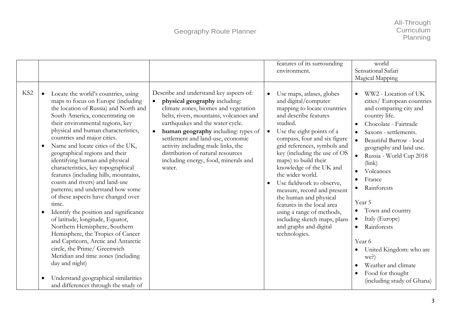|                 |                                                                                                                                                                                                                                                                                                                                                                                                                                                                                                                                                                                                                                                                                                                                                                                                                                                                                                                                                                                          |                                                                                                                                                                                                                                                                                                                                                                                                                                     |           | features of its surrounding                                                                                                                                                                                                                                                                                                                                                                                                                                                                                                                           | world                                                                                                                                                                                                                                                                                                                                                                                                                                                                                                                                                     |
|-----------------|------------------------------------------------------------------------------------------------------------------------------------------------------------------------------------------------------------------------------------------------------------------------------------------------------------------------------------------------------------------------------------------------------------------------------------------------------------------------------------------------------------------------------------------------------------------------------------------------------------------------------------------------------------------------------------------------------------------------------------------------------------------------------------------------------------------------------------------------------------------------------------------------------------------------------------------------------------------------------------------|-------------------------------------------------------------------------------------------------------------------------------------------------------------------------------------------------------------------------------------------------------------------------------------------------------------------------------------------------------------------------------------------------------------------------------------|-----------|-------------------------------------------------------------------------------------------------------------------------------------------------------------------------------------------------------------------------------------------------------------------------------------------------------------------------------------------------------------------------------------------------------------------------------------------------------------------------------------------------------------------------------------------------------|-----------------------------------------------------------------------------------------------------------------------------------------------------------------------------------------------------------------------------------------------------------------------------------------------------------------------------------------------------------------------------------------------------------------------------------------------------------------------------------------------------------------------------------------------------------|
|                 |                                                                                                                                                                                                                                                                                                                                                                                                                                                                                                                                                                                                                                                                                                                                                                                                                                                                                                                                                                                          |                                                                                                                                                                                                                                                                                                                                                                                                                                     |           | environment.                                                                                                                                                                                                                                                                                                                                                                                                                                                                                                                                          | Sensational Safari                                                                                                                                                                                                                                                                                                                                                                                                                                                                                                                                        |
|                 |                                                                                                                                                                                                                                                                                                                                                                                                                                                                                                                                                                                                                                                                                                                                                                                                                                                                                                                                                                                          |                                                                                                                                                                                                                                                                                                                                                                                                                                     |           |                                                                                                                                                                                                                                                                                                                                                                                                                                                                                                                                                       |                                                                                                                                                                                                                                                                                                                                                                                                                                                                                                                                                           |
|                 |                                                                                                                                                                                                                                                                                                                                                                                                                                                                                                                                                                                                                                                                                                                                                                                                                                                                                                                                                                                          |                                                                                                                                                                                                                                                                                                                                                                                                                                     |           |                                                                                                                                                                                                                                                                                                                                                                                                                                                                                                                                                       | Magical Mapping                                                                                                                                                                                                                                                                                                                                                                                                                                                                                                                                           |
| KS <sub>2</sub> | Locate the world's countries, using<br>$\bullet$<br>maps to focus on Europe (including<br>the location of Russia) and North and<br>South America, concentrating on<br>their environmental regions, key<br>physical and human characteristics,<br>countries and major cities.<br>Name and locate cities of the UK,<br>$\bullet$<br>geographical regions and their<br>identifying human and physical<br>characteristics, key topographical<br>features (including hills, mountains,<br>coasts and rivers) and land-use<br>patterns; and understand how some<br>of these aspects have changed over<br>time.<br>Identify the position and significance<br>$\bullet$<br>of latitude, longitude, Equator,<br>Northern Hemisphere, Southern<br>Hemisphere, the Tropics of Cancer<br>and Capricorn, Arctic and Antarctic<br>circle, the Prime/ Greenwich<br>Meridian and time zones (including<br>day and night)<br>Understand geographical similarities<br>and differences through the study of | Describe and understand key aspects of:<br>physical geography including:<br>$\bullet$<br>climate zones, biomes and vegetation<br>belts, rivers, mountains, volcanoes and<br>earthquakes and the water cycle.<br>human geography including: types of<br>$\bullet$<br>settlement and land-use, economic<br>activity including trade links, the<br>distribution of natural resources<br>including energy, food, minerals and<br>water. | $\bullet$ | Use maps, atlases, globes<br>and digital/computer<br>mapping to locate countries<br>and describe features<br>studied.<br>Use the eight points of a<br>compass, four and six figure<br>grid references, symbols and<br>key (including the use of OS<br>maps) to build their<br>knowledge of the UK and<br>the wider world.<br>Use fieldwork to observe,<br>measure, record and present<br>the human and physical<br>features in the local area<br>using a range of methods,<br>including sketch maps, plans<br>and graphs and digital<br>technologies. | WW2 - Location of UK<br>cities/ European countries<br>and comparing city and<br>country life.<br>Chocolate - Fairtrade<br>$\bullet$<br>Saxons - settlements.<br>Beautiful Barrow - local<br>$\bullet$<br>geography and land use.<br>Russia - World Cup 2018<br>(link)<br>Volcanoes<br>France<br>Rainforests<br>Year 5<br>Town and country<br>$\bullet$<br>Italy (Europe)<br>$\bullet$<br>Rainforests<br>$\bullet$<br>Year 6<br>United Kingdom: who are<br>$\bullet$<br>we?)<br>Weather and climate<br>Food for thought<br>٠<br>(including study of Ghana) |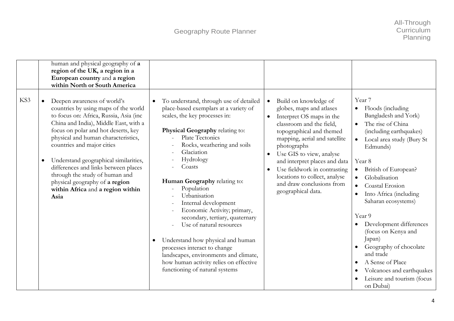|     | human and physical geography of a<br>region of the UK, a region in a<br>European country and a region<br>within North or South America                                                                                                                                                                                                                                                                                                                                            |                                                                                                                                                                                                                                                                                                                                                                                                                                                                                                                                                                                                                                       |                                                                                                                                                                                                                                                                                                                                                                                                  |                                                                                                                                                                                                                                                                                                                                                                                                                                                                                                                                                                                      |
|-----|-----------------------------------------------------------------------------------------------------------------------------------------------------------------------------------------------------------------------------------------------------------------------------------------------------------------------------------------------------------------------------------------------------------------------------------------------------------------------------------|---------------------------------------------------------------------------------------------------------------------------------------------------------------------------------------------------------------------------------------------------------------------------------------------------------------------------------------------------------------------------------------------------------------------------------------------------------------------------------------------------------------------------------------------------------------------------------------------------------------------------------------|--------------------------------------------------------------------------------------------------------------------------------------------------------------------------------------------------------------------------------------------------------------------------------------------------------------------------------------------------------------------------------------------------|--------------------------------------------------------------------------------------------------------------------------------------------------------------------------------------------------------------------------------------------------------------------------------------------------------------------------------------------------------------------------------------------------------------------------------------------------------------------------------------------------------------------------------------------------------------------------------------|
| KS3 | Deepen awareness of world's<br>countries by using maps of the world<br>to focus on: Africa, Russia, Asia (inc<br>China and India), Middle East, with a<br>focus on polar and hot deserts, key<br>physical and human characteristics,<br>countries and major cities<br>Understand geographical similarities,<br>$\bullet$<br>differences and links between places<br>through the study of human and<br>physical geography of a region<br>within Africa and a region within<br>Asia | To understand, through use of detailed<br>$\bullet$<br>place-based exemplars at a variety of<br>scales, the key processes in:<br>Physical Geography relating to:<br>Plate Tectonics<br>Rocks, weathering and soils<br>Glaciation<br>Hydrology<br>Coasts<br>Human Geography relating to:<br>Population<br>Urbanisation<br>Internal development<br>Economic Activity; primary,<br>secondary, tertiary, quaternary<br>Use of natural resources<br>Understand how physical and human<br>processes interact to change<br>landscapes, environments and climate,<br>how human activity relies on effective<br>functioning of natural systems | Build on knowledge of<br>$\bullet$<br>globes, maps and atlases<br>Interpret OS maps in the<br>$\bullet$<br>classroom and the field,<br>topographical and themed<br>mapping, aerial and satellite<br>photographs<br>Use GIS to view, analyse<br>and interpret places and data<br>Use fieldwork in contrasting<br>locations to collect, analyse<br>and draw conclusions from<br>geographical data. | Year 7<br>Floods (including<br>$\bullet$<br>Bangladesh and York)<br>The rise of China<br>$\bullet$<br>(including earthquakes)<br>Local area study (Bury St<br>$\bullet$<br>Edmunds)<br>Year 8<br>British of European?<br>$\bullet$<br>Globalisation<br>$\bullet$<br>Coastal Erosion<br>$\bullet$<br>Into Africa (including<br>$\bullet$<br>Saharan ecosystems)<br>Year 9<br>Development differences<br>(focus on Kenya and<br>Japan)<br>Geography of chocolate<br>and trade<br>A Sense of Place<br>Volcanoes and earthquakes<br>$\bullet$<br>Leisure and tourism (focus<br>on Dubai) |